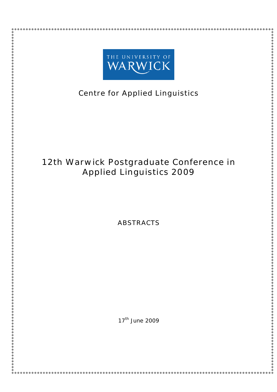

# **Centre for Applied Linguistics**

# **12th Warwick Postgraduate Conference in Applied Linguistics 2009**

**ABSTRACTS**

17<sup>th</sup> June 2009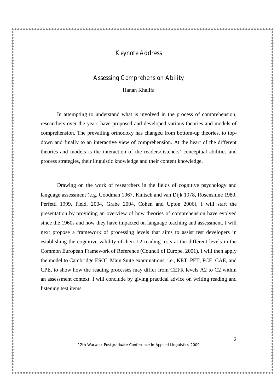### **Keynote Address**

### **Assessing Comprehension Ability**

Hanan Khalifa

In attempting to understand what is involved in the process of comprehension, researchers over the years have proposed and developed various theories and models of comprehension. The prevailing orthodoxy has changed from bottom-up theories, to topdown and finally to an interactive view of comprehension. At the heart of the different theories and models is the interaction of the readers/listeners'conceptual abilities and process strategies, their linguistic knowledge and their content knowledge.

Drawing on the work of researchers in the fields of cognitive psychology and language assessment (e.g. Goodman 1967, Kintsch and van Dijk 1978, Rosenshine 1980, Perfetti 1999, Field, 2004, Grabe 2004, Cohen and Upton 2006), I will start the presentation by providing an overview of how theories of comprehension have evolved since the 1960s and how they have impacted on language teaching and assessment. I will next propose a framework of processing levels that aims to assist test developers in establishing the cognitive validity of their L2 reading tests at the different levels in the Common European Framework of Reference (Council of Europe, 2001). I will then apply the model to Cambridge ESOL Main Suite examinations, i.e., KET, PET, FCE, CAE, and CPE, to show how the reading processes may differ from CEFR levels A2 to C2 within an assessment context. I will conclude by giving practical advice on writing reading and listening test items.

12th Warwick Postgraduate Conference in Applied Linguistics 2009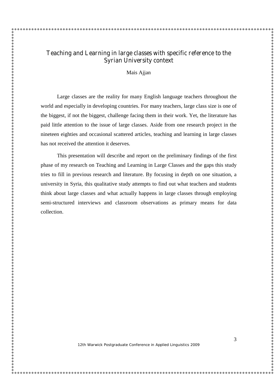## **Teaching and Learning in large classes with specific reference to the Syrian University context**

Mais Ajjan

Large classes are the reality for many English language teachers throughout the world and especially in developing countries. For many teachers, large class size is one of the biggest, if not the biggest, challenge facing them in their work. Yet, the literature has paid little attention to the issue of large classes. Aside from one research project in the nineteen eighties and occasional scattered articles, teaching and learning in large classes has not received the attention it deserves.

This presentation will describe and report on the preliminary findings of the first phase of my research on Teaching and Learning in Large Classes and the gaps this study tries to fill in previous research and literature. By focusing in depth on one situation, a university in Syria, this qualitative study attempts to find out what teachers and students think about large classes and what actually happens in large classes through employing semi-structured interviews and classroom observations as primary means for data collection.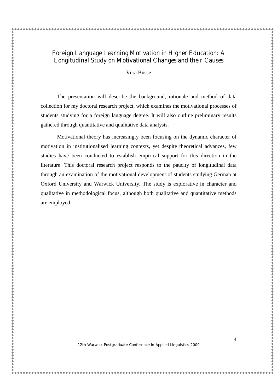Vera Busse

The presentation will describe the background, rationale and method of data collection for my doctoral research project, which examines the motivational processes of students studying for a foreign language degree. It will also outline preliminary results gathered through quantitative and qualitative data analysis.

Motivational theory has increasingly been focusing on the dynamic character of motivation in institutionalised learning contexts, yet despite theoretical advances, few studies have been conducted to establish empirical support for this direction in the literature. This doctoral research project responds to the paucity of longitudinal data through an examination of the motivational development of students studying German at Oxford University and Warwick University. The study is explorative in character and qualitative in methodological focus, although both qualitative and quantitative methods are employed.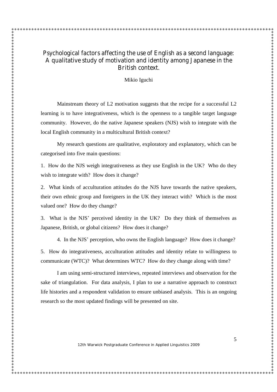## **Psychological factors affecting the use of English as a second language: A qualitative study of motivation and identity among Japanese in the British context.**

 $\ddot{\bullet}$ 

Mikio Iguchi

Mainstream theory of L2 motivation suggests that the recipe for a successful L2 learning is to have integrativeness, which is the openness to a tangible target language community. However, do the native Japanese speakers (NJS) wish to integrate with the local English community in a multicultural British context?

My research questions are qualitative, exploratory and explanatory, which can be categorised into five main questions:

1. How do the NJS weigh integrativeness as they use English in the UK? Who do they wish to integrate with? How does it change?

2. What kinds of acculturation attitudes do the NJS have towards the native speakers, their own ethnic group and foreigners in the UK they interact with? Which is the most valued one? How do they change?

3. What is the NJS'perceived identity in the UK? Do they think of themselves as Japanese, British, or global citizens? How does it change?

4. In the NJS'perception, who owns the English language? How does it change?

5. How do integrativeness, acculturation attitudes and identity relate to willingness to communicate (WTC)? What determines WTC? How do they change along with time?

I am using semi-structured interviews, repeated interviews and observation for the sake of triangulation. For data analysis, I plan to use a narrative approach to construct life histories and a respondent validation to ensure unbiased analysis. This is an ongoing research so the most updated findings will be presented on site.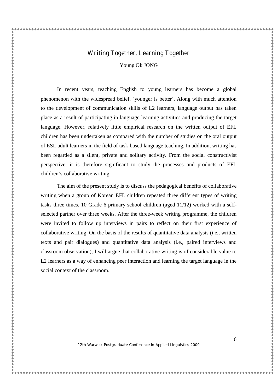### **Writing Together, Learning Together**

Young Ok JONG

In recent years, teaching English to young learners has become a global phenomenon with the widespread belief, 'younger is better'. Along with much attention to the development of communication skills of L2 learners, language output has taken place as a result of participating in language learning activities and producing the target language. However, relatively little empirical research on the written output of EFL children has been undertaken as compared with the number of studies on the oral output of ESL adult learners in the field of task-based language teaching. In addition, writing has been regarded as a silent, private and solitary activity. From the social constructivist perspective, it is therefore significant to study the processes and products of EFL children's collaborative writing.

The aim of the present study is to discuss the pedagogical benefits of collaborative writing when a group of Korean EFL children repeated three different types of writing tasks three times. 10 Grade 6 primary school children (aged 11/12) worked with a selfselected partner over three weeks. After the three-week writing programme, the children were invited to follow up interviews in pairs to reflect on their first experience of collaborative writing. On the basis of the results of quantitative data analysis (i.e., written texts and pair dialogues) and quantitative data analysis (i.e., paired interviews and classroom observation), I will argue that collaborative writing is of considerable value to L2 learners as a way of enhancing peer interaction and learning the target language in the social context of the classroom.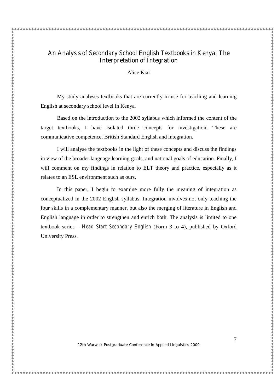## **An Analysis of Secondary School English Textbooks in Kenya: The Interpretation of Integration**

Alice Kiai

My study analyses textbooks that are currently in use for teaching and learning English at secondary school level in Kenya.

Based on the introduction to the 2002 syllabus which informed the content of the target textbooks, I have isolated three concepts for investigation. These are communicative competence, British Standard English and integration.

I will analyse the textbooks in the light of these concepts and discuss the findings in view of the broader language learning goals, and national goals of education. Finally, I will comment on my findings in relation to ELT theory and practice, especially as it relates to an ESL environment such as ours.

In this paper, I begin to examine more fully the meaning of integration as conceptualized in the 2002 English syllabus. Integration involves not only teaching the four skills in a complementary manner, but also the merging of literature in English and English language in order to strengthen and enrich both. The analysis is limited to one textbook series –*Head Start Secondary English* (Form 3 to 4), published by Oxford University Press.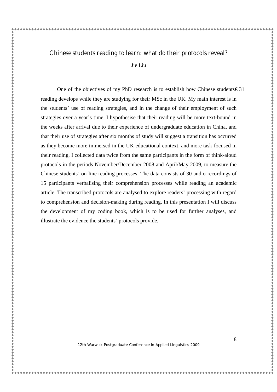### **Chinese students reading to learn: what do their protocols reveal?**

Jie Liu

One of the objectives of my PhD research is to establish how Chinese students€31 reading develops while they are studying for their MSc in the UK. My main interest is in the students' use of reading strategies, and in the change of their employment of such strategies over a year's time. I hypothesise that their reading will be more text-bound in the weeks after arrival due to their experience of undergraduate education in China, and that their use of strategies after six months of study will suggest a transition has occurred as they become more immersed in the UK educational context, and more task-focused in their reading. I collected data twice from the same participants in the form of think-aloud protocols in the periods November/December 2008 and April/May 2009, to measure the Chinese students'on-line reading processes. The data consists of 30 audio-recordings of 15 participants verbalising their comprehension processes while reading an academic article. The transcribed protocols are analysed to explore readers'processing with regard to comprehension and decision-making during reading. In this presentation I will discuss the development of my coding book, which is to be used for further analyses, and illustrate the evidence the students'protocols provide.

8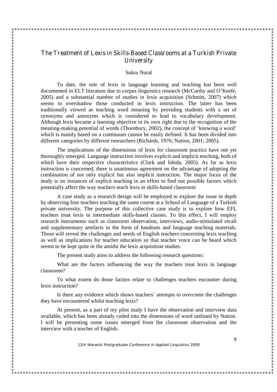## **The Treatment of Lexis in Skills-Based Classrooms at a Turkish Private University**

Sukru Nural

To date, the role of lexis in language learning and teaching has been well documented in ELT literature due to corpus linguistics research (McCarthy and O'Keefe, 2005) and a substantial number of studies in lexis acquisition (Schmitt, 2007) which seems to overshadow those conducted in lexis instruction. The latter has been traditionally viewed as teaching word meaning by providing students with a set of synonyms and antonyms which is considered to lead to vocabulary development. Although lexis became a learning objective in its own right due to the recognition of the meaning-making potential of words (Thornbury, 2002), the concept of 'knowing a word' which is mainly based on a continuum cannot be easily defined. It has been divided into different categories by different researchers (Richards, 1976; Nation, 2001; 2005).

The implications of the dimensions of lexis for classroom practice have not yet thoroughly emerged. Language instruction involves explicit and implicit teaching, both of which have their respective characteristics (Clark and Ishida, 2005). As far as lexis instruction is concerned, there is unanimous agreement on the advantage of adopting the combination of not only explicit but also implicit instruction. The major focus of the study is on instances of explicit teaching in an effort to find out possible factors which potentially affect the way teachers teach lexis in skills-based classroom

A case study as a research design will be employed to explore the issue in depth by observing four teachers teaching the same course at a School of Language of a Turkish private university. The purpose of this collective case study is to explore how EFL teachers treat lexis in intermediate skills-based classes. To this effect, I will employ research instruments such as classroom observation, interviews, audio-stimulated recall and supplementary artefacts in the form of handouts and language teaching materials. Those will reveal the challenges and needs of English teachers concerning lexis teaching as well as implications for teacher education so that teacher voice can be heard which seems to be kept quite in the amidst the lexis acquisition studies.

The present study aims to address the following research questions:

What are the factors influencing the way the teachers treat lexis in language classroom?

To what extent do those factors relate to challenges teachers encounter during lexis instruction?

Is there any evidence which shows teachers'attempts to overcome the challenges they have encountered whilst teaching lexis?

At present, as a part of my pilot study I have the observation and interview data available, which has been already coded into the dimensions of word outlined by Nation. I will be presenting some issues emerged from the classroom observation and the interview with a teacher of English.

12th Warwick Postgraduate Conference in Applied Linguistics 2009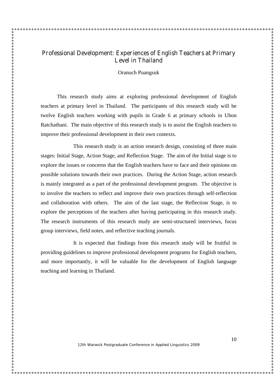# **Professional Development: Experiences of English Teachers at Primary Level in Thailand** Oranuch Puangsuk

This research study aims at exploring professional development of English teachers at primary level in Thailand. The participants of this research study will be twelve English teachers working with pupils in Grade 6 at primary schools in Ubon Ratchathani. The main objective of this research study is to assist the English teachers to improve their professional development in their own contexts.

This research study is an action research design, consisting of three main stages: Initial Stage, Action Stage, and Reflection Stage. The aim of the Initial stage is to explore the issues or concerns that the English teachers have to face and their opinions on possible solutions towards their own practices. During the Action Stage, action research is mainly integrated as a part of the professional development program. The objective is to involve the teachers to reflect and improve their own practices through self-reflection and collaboration with others. The aim of the last stage, the Reflection Stage, is to explore the perceptions of the teachers after having participating in this research study. The research instruments of this research study are semi-structured interviews, focus group interviews, field notes, and reflective teaching journals.

It is expected that findings from this research study will be fruitful in providing guidelines to improve professional development programs for English teachers, and more importantly, it will be valuable for the development of English language teaching and learning in Thailand.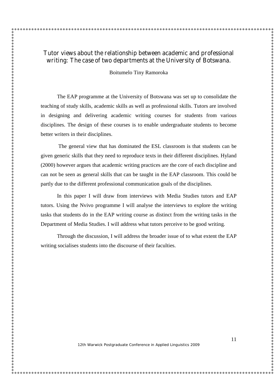# **Tutor views about the relationship between academic and professional writing: The case of two departments at the University of Botswana.**

Boitumelo Tiny Ramoroka

The EAP programme at the University of Botswana was set up to consolidate the teaching of study skills, academic skills as well as professional skills. Tutors are involved in designing and delivering academic writing courses for students from various disciplines. The design of these courses is to enable undergraduate students to become better writers in their disciplines.

The general view that has dominated the ESL classroom is that students can be given generic skills that they need to reproduce texts in their different disciplines. Hyland (2000) however argues that academic writing practices are the core of each discipline and can not be seen as general skills that can be taught in the EAP classroom. This could be partly due to the different professional communication goals of the disciplines.

In this paper I will draw from interviews with Media Studies tutors and EAP tutors. Using the Nvivo programme I will analyse the interviews to explore the writing tasks that students do in the EAP writing course as distinct from the writing tasks in the Department of Media Studies. I will address what tutors perceive to be good writing.

Through the discussion, I will address the broader issue of to what extent the EAP writing socialises students into the discourse of their faculties.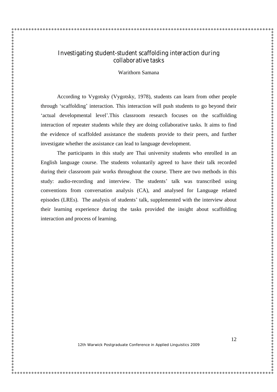### **Investigating student-student scaffolding interaction during collaborative tasks**

Warithorn Samana

According to Vygotsky (Vygotsky, 1978), students can learn from other people through 'scaffolding'interaction. This interaction will push students to go beyond their 'actual developmental level'.This classroom research focuses on the scaffolding interaction of repeater students while they are doing collaborative tasks. It aims to find the evidence of scaffolded assistance the students provide to their peers, and further investigate whether the assistance can lead to language development.

The participants in this study are Thai university students who enrolled in an English language course. The students voluntarily agreed to have their talk recorded during their classroom pair works throughout the course. There are two methods in this study: audio-recording and interview. The students' talk was transcribed using conventions from conversation analysis (CA), and analysed for Language related episodes (LREs). The analysis of students' talk, supplemented with the interview about their learning experience during the tasks provided the insight about scaffolding interaction and process of learning.

12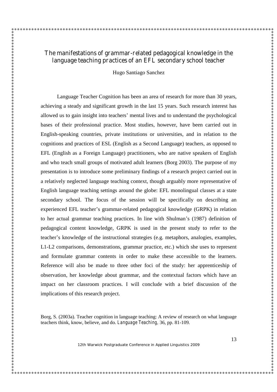# **The manifestations of grammar-related pedagogical knowledge in the language teaching practices of an EFL secondary school teacher**

Hugo Santiago Sanchez

Language Teacher Cognition has been an area of research for more than 30 years, achieving a steady and significant growth in the last 15 years. Such research interest has allowed us to gain insight into teachers'mental lives and to understand the psychological bases of their professional practice. Most studies, however, have been carried out in English-speaking countries, private institutions or universities, and in relation to the cognitions and practices of ESL (English as a Second Language) teachers, as opposed to EFL (English as a Foreign Language) practitioners, who are native speakers of English and who teach small groups of motivated adult learners (Borg 2003). The purpose of my presentation is to introduce some preliminary findings of a research project carried out in a relatively neglected language teaching context, though arguably more representative of English language teaching settings around the globe: EFL monolingual classes at a state secondary school. The focus of the session will be specifically on describing an experienced EFL teacher's grammar-related pedagogical knowledge (GRPK) in relation to her actual grammar teaching practices. In line with Shulman's (1987) definition of pedagogical content knowledge, GRPK is used in the present study to refer to the teacher's knowledge of the instructional strategies (e.g. metaphors, analogies, examples, L1-L2 comparisons, demonstrations, grammar practice, etc.) which she uses to represent and formulate grammar contents in order to make these accessible to the learners. Reference will also be made to three other foci of the study: her apprenticeship of observation, her knowledge about grammar, and the contextual factors which have an impact on her classroom practices. I will conclude with a brief discussion of the implications of this research project.

Borg, S. (2003a). Teacher cognition in language teaching: A review of research on what language teachers think, know, believe, and do. *Language Teaching,* 36, pp. 81-109.

12th Warwick Postgraduate Conference in Applied Linguistics 2009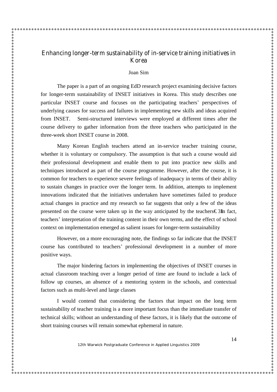# **Enhancing longer-term sustainability of in-service training initiatives in Korea**

 $\hat{\mathbf{x}}$ 

Joan Sim

The paper is a part of an ongoing EdD research project examining decisive factors for longer-term sustainability of INSET initiatives in Korea. This study describes one particular INSET course and focuses on the participating teachers' perspectives of underlying causes for success and failures in implementing new skills and ideas acquired from INSET. Semi-structured interviews were employed at different times after the course delivery to gather information from the three teachers who participated in the three-week short INSET course in 2008.

Many Korean English teachers attend an in-service teacher training course, whether it is voluntary or compulsory. The assumption is that such a course would aid their professional development and enable them to put into practice new skills and techniques introduced as part of the course programme. However, after the course, it is common for teachers to experience severe feelings of inadequacy in terms of their ability to sustain changes in practice over the longer term. In addition, attempts to implement innovations indicated that the initiatives undertaken have sometimes failed to produce actual changes in practice and my research so far suggests that only a few of the ideas presented on the course were taken up in the way anticipated by the teachers  $\epsilon$ 3In fact, teachers'interpretation of the training content in their own terms, and the effect of school context on implementation emerged as salient issues for longer-term sustainability

However, on a more encouraging note, the findings so far indicate that the INSET course has contributed to teachers' professional development in a number of more positive ways.

The major hindering factors in implementing the objectives of INSET courses in actual classroom teaching over a longer period of time are found to include a lack of follow up courses, an absence of a mentoring system in the schools, and contextual factors such as multi-level and large classes

I would contend that considering the factors that impact on the long term sustainability of teacher training is a more important focus than the immediate transfer of technical skills; without an understanding of these factors, it is likely that the outcome of short training courses will remain somewhat ephemeral in nature.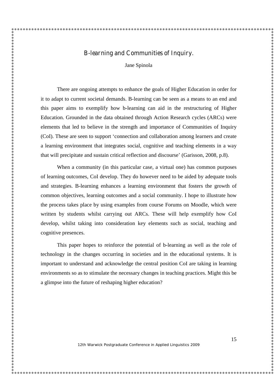### **B-learning and Communities of Inquiry.**

Jane Spinola

There are ongoing attempts to enhance the goals of Higher Education in order for it to adapt to current societal demands. B-learning can be seen as a means to an end and this paper aims to exemplify how b-learning can aid in the restructuring of Higher Education. Grounded in the data obtained through Action Research cycles (ARCs) were elements that led to believe in the strength and importance of Communities of Inquiry (CoI). These are seen to support 'connection and collaboration among learners and create a learning environment that integrates social, cognitive and teaching elements in a way that will precipitate and sustain critical reflection and discourse'(Garisson, 2008, p.8).

When a community (in this particular case, a virtual one) has common purposes of learning outcomes, CoI develop. They do however need to be aided by adequate tools and strategies. B-learning enhances a learning environment that fosters the growth of common objectives, learning outcomes and a social community. I hope to illustrate how the process takes place by using examples from course Forums on Moodle, which were written by students whilst carrying out ARCs. These will help exemplify how CoI develop, whilst taking into consideration key elements such as social, teaching and cognitive presences.

This paper hopes to reinforce the potential of b-learning as well as the role of technology in the changes occurring in societies and in the educational systems. It is important to understand and acknowledge the central position CoI are taking in learning environments so as to stimulate the necessary changes in teaching practices. Might this be a glimpse into the future of reshaping higher education?

12th Warwick Postgraduate Conference in Applied Linguistics 2009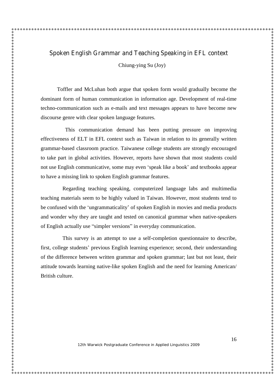Chiung-ying Su (Joy)

Toffler and McLuhan both argue that spoken form would gradually become the dominant form of human communication in information age. Development of real-time techno-communication such as e-mails and text messages appears to have become new discourse genre with clear spoken language features.

 This communication demand has been putting pressure on improving effectiveness of ELT in EFL context such as Taiwan in relation to its generally written grammar-based classroom practice. Taiwanese college students are strongly encouraged to take part in global activities. However, reports have shown that most students could not use English communicative, some may even 'speak like a book'and textbooks appear to have a missing link to spoken English grammar features.

 Regarding teaching speaking, computerized language labs and multimedia teaching materials seem to be highly valued in Taiwan. However, most students tend to be confused with the 'ungrammaticality'of spoken English in movies and media products and wonder why they are taught and tested on canonical grammar when native-speakers of English actually use "simpler versions"in everyday communication.

 This survey is an attempt to use a self-completion questionnaire to describe, first, college students'previous English learning experience; second, their understanding of the difference between written grammar and spoken grammar; last but not least, their attitude towards learning native-like spoken English and the need for learning American/ British culture.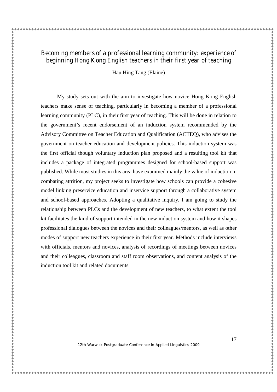### **Becoming members of a professional learning community: experience of beginning Hong Kong English teachers in their first year of teaching**

Hau Hing Tang (Elaine)

My study sets out with the aim to investigate how novice Hong Kong English teachers make sense of teaching, particularly in becoming a member of a professional learning community (PLC), in their first year of teaching. This will be done in relation to the government's recent endorsement of an induction system recommended by the Advisory Committee on Teacher Education and Qualification (ACTEQ), who advises the government on teacher education and development policies. This induction system was the first official though voluntary induction plan proposed and a resulting tool kit that includes a package of integrated programmes designed for school-based support was published. While most studies in this area have examined mainly the value of induction in combating attrition, my project seeks to investigate how schools can provide a cohesive model linking preservice education and inservice support through a collaborative system and school-based approaches. Adopting a qualitative inquiry, I am going to study the relationship between PLCs and the development of new teachers, to what extent the tool kit facilitates the kind of support intended in the new induction system and how it shapes professional dialogues between the novices and their colleagues/mentors, as well as other modes of support new teachers experience in their first year. Methods include interviews with officials, mentors and novices, analysis of recordings of meetings between novices and their colleagues, classroom and staff room observations, and content analysis of the induction tool kit and related documents.

12th Warwick Postgraduate Conference in Applied Linguistics 2009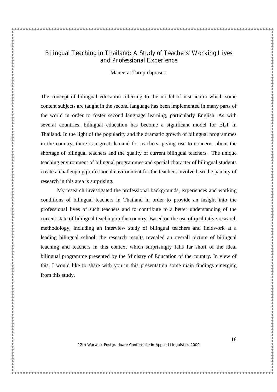### **Bilingual Teaching in Thailand: A Study of Teachers' Working Lives and Professional Experience**

Maneerat Tarnpichprasert

The concept of bilingual education referring to the model of instruction which some content subjects are taught in the second language has been implemented in many parts of the world in order to foster second language learning, particularly English. As with several countries, bilingual education has become a significant model for ELT in Thailand. In the light of the popularity and the dramatic growth of bilingual programmes in the country, there is a great demand for teachers, giving rise to concerns about the shortage of bilingual teachers and the quality of current bilingual teachers. The unique teaching environment of bilingual programmes and special character of bilingual students create a challenging professional environment for the teachers involved, so the paucity of research in this area is surprising.

My research investigated the professional backgrounds, experiences and working conditions of bilingual teachers in Thailand in order to provide an insight into the professional lives of such teachers and to contribute to a better understanding of the current state of bilingual teaching in the country. Based on the use of qualitative research methodology, including an interview study of bilingual teachers and fieldwork at a leading bilingual school; the research results revealed an overall picture of bilingual teaching and teachers in this context which surprisingly falls far short of the ideal bilingual programme presented by the Ministry of Education of the country. In view of this, I would like to share with you in this presentation some main findings emerging from this study.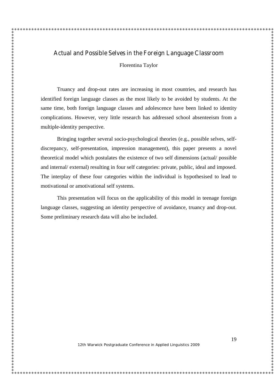### **Actual and Possible Selves in the Foreign Language Classroom**

Florentina Taylor

Truancy and drop-out rates are increasing in most countries, and research has identified foreign language classes as the most likely to be avoided by students. At the same time, both foreign language classes and adolescence have been linked to identity complications. However, very little research has addressed school absenteeism from a multiple-identity perspective.

Bringing together several socio-psychological theories (e.g., possible selves, selfdiscrepancy, self-presentation, impression management), this paper presents a novel theoretical model which postulates the existence of two self dimensions (actual/ possible and internal/ external) resulting in four self categories: private, public, ideal and imposed. The interplay of these four categories within the individual is hypothesised to lead to motivational or amotivational self systems.

This presentation will focus on the applicability of this model in teenage foreign language classes, suggesting an identity perspective of avoidance, truancy and drop-out. Some preliminary research data will also be included.

19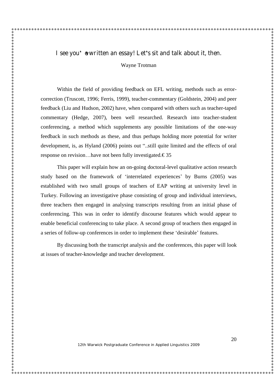### **I see you've written an essay! Let's sit and talk about it, then.**

Wayne Trotman

Within the field of providing feedback on EFL writing, methods such as errorcorrection (Truscott, 1996; Ferris, 1999), teacher-commentary (Goldstein, 2004) and peer feedback (Liu and Hudson, 2002) have, when compared with others such as teacher-taped commentary (Hedge, 2007), been well researched. Research into teacher-student conferencing, a method which supplements any possible limitations of the one-way feedback in such methods as these, and thus perhaps holding more potential for writer development, is, as Hyland (2006) points out "..still quite limited and the effects of oral response on revision…have not been fully investigated.€35

This paper will explain how an on-going doctoral-level qualitative action research study based on the framework of 'interrelated experiences'by Burns (2005) was established with two small groups of teachers of EAP writing at university level in Turkey. Following an investigative phase consisting of group and individual interviews, three teachers then engaged in analysing transcripts resulting from an initial phase of conferencing. This was in order to identify discourse features which would appear to enable beneficial conferencing to take place. A second group of teachers then engaged in a series of follow-up conferences in order to implement these 'desirable' features.

By discussing both the transcript analysis and the conferences, this paper will look at issues of teacher-knowledge and teacher development.

12th Warwick Postgraduate Conference in Applied Linguistics 2009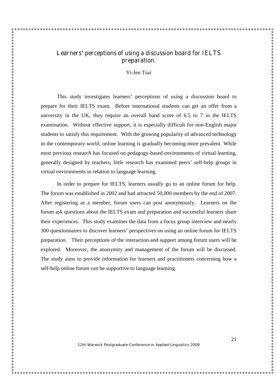# **Learners'perceptions of using a discussion board for IELTS preparation.**

Yi-Jen Tsai

This study investigates learners' perceptions of using a discussion board to prepare for their IELTS exam. Before international students can get an offer from a university in the UK, they require an overall band score of 6.5 to 7 in the IELTS examination. Without effective support, it is especially difficult for non-English major students to satisfy this requirement. With the growing popularity of advanced technology in the contemporary world, online learning is gradually becoming more prevalent. While most previous research has focused on pedagogy-based environments of virtual learning, generally designed by teachers, little research has examined peers'self-help groups in virtual environments in relation to language learning.

In order to prepare for IELTS, learners usually go to an online forum for help. The forum was established in 2002 and had attracted 50,000 members by the end of 2007. After registering as a member, forum users can post anonymously. Learners on the forum ask questions about the IELTS exam and preparation and successful learners share their experiences. This study examines the data from a focus group interview and nearly 300 questionnaires to discover learners'perspectives on using an online forum for IELTS preparation. Their perceptions of the interaction and support among forum users will be explored. Moreover, the anonymity and management of the forum will be discussed. The study aims to provide information for learners and practitioners concerning how a self-help online forum can be supportive to language learning.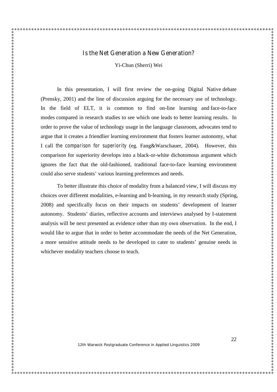### **Is the Net Generation a New Generation?**

Yi-Chun (Sherri) Wei

In this presentation, I will first review the on-going Digital Native debate (Prensky, 2001) and the line of discussion arguing for the necessary use of technology. In the field of ELT, it is common to find on-line learning and face-to-face modes compared in research studies to see which one leads to better learning results. In order to prove the value of technology usage in the language classroom, advocates tend to argue that it creates a friendlier learning environment that fosters learner autonomy, what I call *the comparison for superiority* (eg. Fang&Warschauer, 2004). However, this comparison for superiority develops into a black-or-white dichotomous argument which ignores the fact that the old-fashioned, traditional face-to-face learning environment could also serve students'various learning preferences and needs.

To better illustrate this choice of modality from a balanced view, I will discuss my choices over different modalities, e-learning and b-learning, in my research study (Spring, 2008) and specifically focus on their impacts on students'development of learner autonomy. Students'diaries, reflective accounts and interviews analysed by I-statement analysis will be next presented as evidence other than my own observation. In the end, I would like to argue that in order to better accommodate the needs of the Net Generation, a more sensitive attitude needs to be developed to cater to students'genuine needs in whichever modality teachers choose to teach.

12th Warwick Postgraduate Conference in Applied Linguistics 2009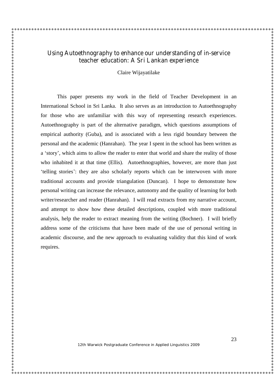### **Using Autoethnography to enhance our understanding of in-service teacher education: A Sri Lankan experience**

Claire Wijayatilake

This paper presents my work in the field of Teacher Development in an International School in Sri Lanka. It also serves as an introduction to Autoethnography for those who are unfamiliar with this way of representing research experiences. Autoethnography is part of the alternative paradigm, which questions assumptions of empirical authority (Guba), and is associated with a less rigid boundary between the personal and the academic (Hanrahan). The year I spent in the school has been written as a 'story', which aims to allow the reader to enter that world and share the reality of those who inhabited it at that time (Ellis). Autoethnographies, however, are more than just 'telling stories': they are also scholarly reports which can be interwoven with more traditional accounts and provide triangulation (Duncan). I hope to demonstrate how personal writing can increase the relevance, autonomy and the quality of learning for both writer/researcher and reader (Hanrahan). I will read extracts from my narrative account, and attempt to show how these detailed descriptions, coupled with more traditional analysis, help the reader to extract meaning from the writing (Bochner). I will briefly address some of the criticisms that have been made of the use of personal writing in academic discourse, and the new approach to evaluating validity that this kind of work requires.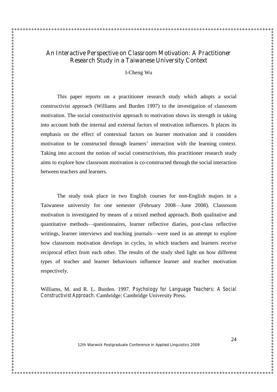## **An Interactive Perspective on Classroom Motivation: A Practitioner Research Study in a Taiwanese University Context**

I-Cheng Wu

This paper reports on a practitioner research study which adopts a social constructivist approach (Williams and Burden 1997) to the investigation of classroom motivation. The social constructivist approach to motivation shows its strength in taking into account both the internal and external factors of motivation influences. It places its emphasis on the effect of contextual factors on learner motivation and it considers motivation to be constructed through learners' interaction with the learning context. Taking into account the notion of social constructivism, this practitioner research study aims to explore how classroom motivation is co-constructed through the social interaction between teachers and learners.

The study took place in two English courses for non-English majors in a Taiwanese university for one semester (February 2008—June 2008). Classroom motivation is investigated by means of a mixed method approach. Both qualitative and quantitative methods—questionnaires, learner reflective diaries, post-class reflective writings, learner interviews and teaching journals—were used in an attempt to explore how classroom motivation develops in cycles, in which teachers and learners receive reciprocal effect from each other. The results of the study shed light on how different types of teacher and learner behaviours influence learner and teacher motivation respectively.

Williams, M. and R. L. Burden. 1997. *Psychology for Language Teachers: A Social Constructivist Approach.* Cambridge: Cambridge University Press.

12th Warwick Postgraduate Conference in Applied Linguistics 2009